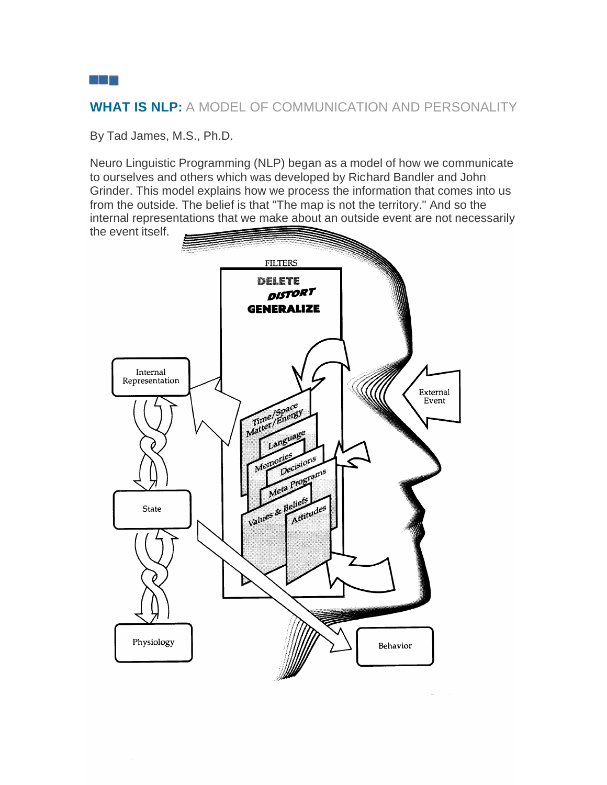# **WHAT IS NLP:** A MODEL OF COMMUNICATION AND PERSONALITY

By Tad James, M.S., Ph.D.

Neuro Linguistic Programming (NLP) began as a model of how we communicate to ourselves and others which was developed by Richard Bandler and John Grinder. This model explains how we process the information that comes into us from the outside. The belief is that "The map is not the territory." And so the internal representations that we make about an outside event are not necessarily the event itself.



a kata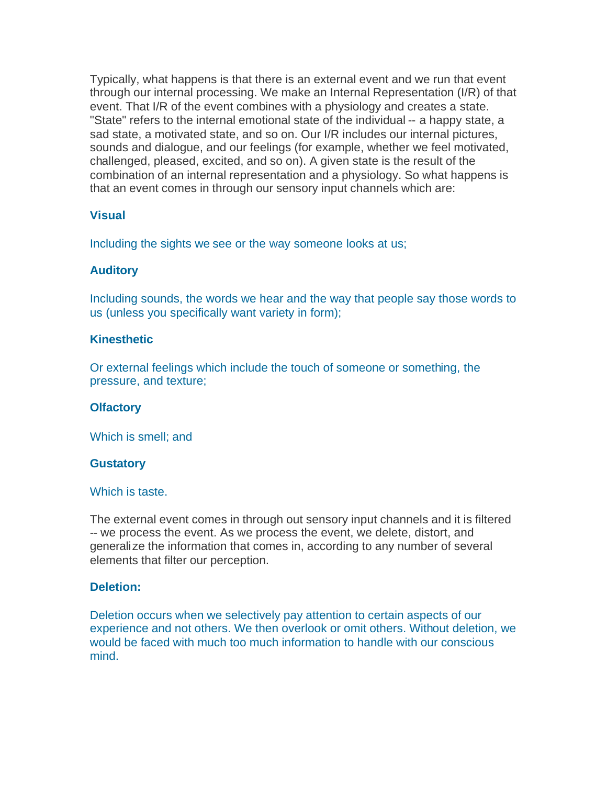Typically, what happens is that there is an external event and we run that event through our internal processing. We make an Internal Representation (I/R) of that event. That I/R of the event combines with a physiology and creates a state. "State" refers to the internal emotional state of the individual -- a happy state, a sad state, a motivated state, and so on. Our I/R includes our internal pictures, sounds and dialogue, and our feelings (for example, whether we feel motivated, challenged, pleased, excited, and so on). A given state is the result of the combination of an internal representation and a physiology. So what happens is that an event comes in through our sensory input channels which are:

# **Visual**

Including the sights we see or the way someone looks at us;

# **Auditory**

Including sounds, the words we hear and the way that people say those words to us (unless you specifically want variety in form);

## **Kinesthetic**

Or external feelings which include the touch of someone or something, the pressure, and texture;

# **Olfactory**

Which is smell; and

#### **Gustatory**

#### Which is taste.

The external event comes in through out sensory input channels and it is filtered -- we process the event. As we process the event, we delete, distort, and generalize the information that comes in, according to any number of several elements that filter our perception.

# **Deletion:**

Deletion occurs when we selectively pay attention to certain aspects of our experience and not others. We then overlook or omit others. Without deletion, we would be faced with much too much information to handle with our conscious mind.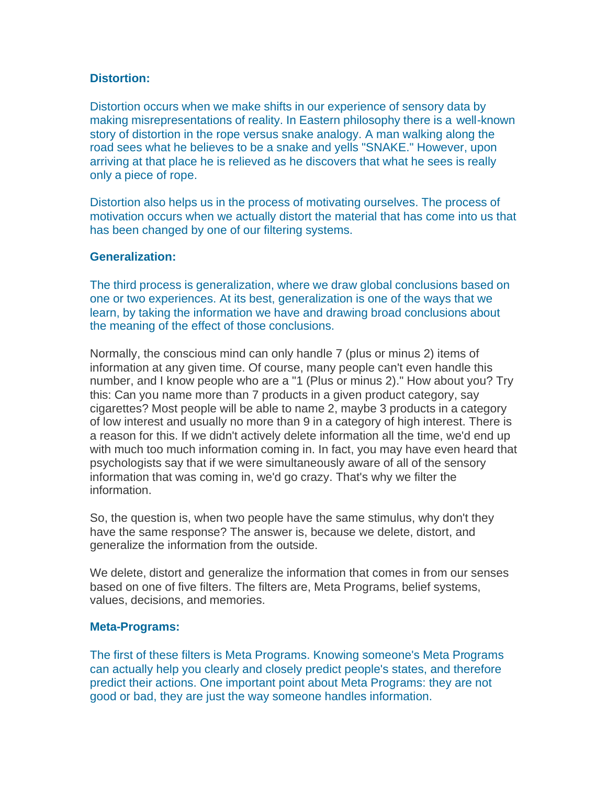## **Distortion:**

Distortion occurs when we make shifts in our experience of sensory data by making misrepresentations of reality. In Eastern philosophy there is a well-known story of distortion in the rope versus snake analogy. A man walking along the road sees what he believes to be a snake and yells "SNAKE." However, upon arriving at that place he is relieved as he discovers that what he sees is really only a piece of rope.

Distortion also helps us in the process of motivating ourselves. The process of motivation occurs when we actually distort the material that has come into us that has been changed by one of our filtering systems.

## **Generalization:**

The third process is generalization, where we draw global conclusions based on one or two experiences. At its best, generalization is one of the ways that we learn, by taking the information we have and drawing broad conclusions about the meaning of the effect of those conclusions.

Normally, the conscious mind can only handle 7 (plus or minus 2) items of information at any given time. Of course, many people can't even handle this number, and I know people who are a "1 (Plus or minus 2)." How about you? Try this: Can you name more than 7 products in a given product category, say cigarettes? Most people will be able to name 2, maybe 3 products in a category of low interest and usually no more than 9 in a category of high interest. There is a reason for this. If we didn't actively delete information all the time, we'd end up with much too much information coming in. In fact, you may have even heard that psychologists say that if we were simultaneously aware of all of the sensory information that was coming in, we'd go crazy. That's why we filter the information.

So, the question is, when two people have the same stimulus, why don't they have the same response? The answer is, because we delete, distort, and generalize the information from the outside.

We delete, distort and generalize the information that comes in from our senses based on one of five filters. The filters are, Meta Programs, belief systems, values, decisions, and memories.

#### **Meta-Programs:**

The first of these filters is Meta Programs. Knowing someone's Meta Programs can actually help you clearly and closely predict people's states, and therefore predict their actions. One important point about Meta Programs: they are not good or bad, they are just the way someone handles information.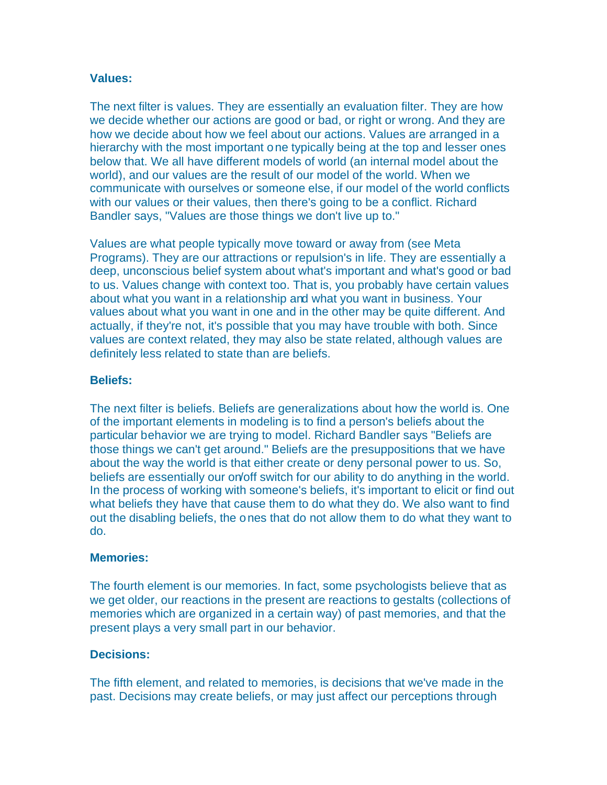# **Values:**

The next filter is values. They are essentially an evaluation filter. They are how we decide whether our actions are good or bad, or right or wrong. And they are how we decide about how we feel about our actions. Values are arranged in a hierarchy with the most important one typically being at the top and lesser ones below that. We all have different models of world (an internal model about the world), and our values are the result of our model of the world. When we communicate with ourselves or someone else, if our model of the world conflicts with our values or their values, then there's going to be a conflict. Richard Bandler says, "Values are those things we don't live up to."

Values are what people typically move toward or away from (see Meta Programs). They are our attractions or repulsion's in life. They are essentially a deep, unconscious belief system about what's important and what's good or bad to us. Values change with context too. That is, you probably have certain values about what you want in a relationship and what you want in business. Your values about what you want in one and in the other may be quite different. And actually, if they're not, it's possible that you may have trouble with both. Since values are context related, they may also be state related, although values are definitely less related to state than are beliefs.

## **Beliefs:**

The next filter is beliefs. Beliefs are generalizations about how the world is. One of the important elements in modeling is to find a person's beliefs about the particular behavior we are trying to model. Richard Bandler says "Beliefs are those things we can't get around." Beliefs are the presuppositions that we have about the way the world is that either create or deny personal power to us. So, beliefs are essentially our on/off switch for our ability to do anything in the world. In the process of working with someone's beliefs, it's important to elicit or find out what beliefs they have that cause them to do what they do. We also want to find out the disabling beliefs, the ones that do not allow them to do what they want to do.

#### **Memories:**

The fourth element is our memories. In fact, some psychologists believe that as we get older, our reactions in the present are reactions to gestalts (collections of memories which are organized in a certain way) of past memories, and that the present plays a very small part in our behavior.

## **Decisions:**

The fifth element, and related to memories, is decisions that we've made in the past. Decisions may create beliefs, or may just affect our perceptions through